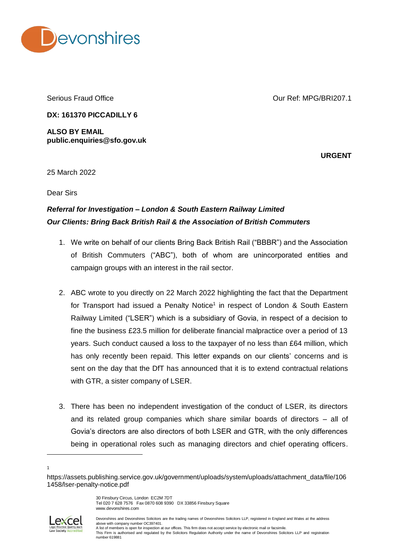

Serious Fraud Office

Our Ref: MPG/BRI207.1

**DX: 161370 PICCADILLY 6**

**ALSO BY EMAIL public.enquiries@sfo.gov.uk**

**URGENT**

25 March 2022

Dear Sirs

## *Referral for Investigation – London & South Eastern Railway Limited Our Clients: Bring Back British Rail & the Association of British Commuters*

- 1. We write on behalf of our clients Bring Back British Rail ("BBBR") and the Association of British Commuters ("ABC"), both of whom are unincorporated entities and campaign groups with an interest in the rail sector.
- 2. ABC wrote to you directly on 22 March 2022 highlighting the fact that the Department for Transport had issued a Penalty Notice<sup>1</sup> in respect of London & South Eastern Railway Limited ("LSER") which is a subsidiary of Govia, in respect of a decision to fine the business £23.5 million for deliberate financial malpractice over a period of 13 years. Such conduct caused a loss to the taxpayer of no less than £64 million, which has only recently been repaid. This letter expands on our clients' concerns and is sent on the day that the DfT has announced that it is to extend contractual relations with GTR, a sister company of LSER.
- 3. There has been no independent investigation of the conduct of LSER, its directors and its related group companies which share similar boards of directors – all of Govia's directors are also directors of both LSER and GTR, with the only differences being in operational roles such as managing directors and chief operating officers.

 $\overline{a}$ 



Devonshires and Devonshires Solicitors are the trading names of Devonshires Solicitors LLP, registered in England and Wales at the address above with company number OC397401. A list of members is open for inspection at our offices. This firm does not accept service by electronic mail or facsimile. This Firm is authorised and regulated by the Solicitors Regulation Authority under the name of Devonshires Solicitors LLP and registration number 619881

<sup>1</sup>

https://assets.publishing.service.gov.uk/government/uploads/system/uploads/attachment\_data/file/106 1458/lser-penalty-notice.pdf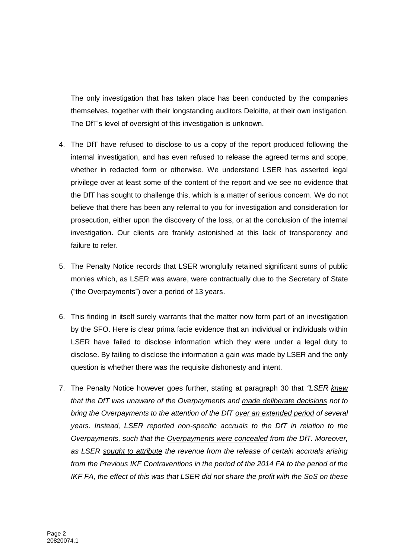The only investigation that has taken place has been conducted by the companies themselves, together with their longstanding auditors Deloitte, at their own instigation. The DfT's level of oversight of this investigation is unknown.

- 4. The DfT have refused to disclose to us a copy of the report produced following the internal investigation, and has even refused to release the agreed terms and scope, whether in redacted form or otherwise. We understand LSER has asserted legal privilege over at least some of the content of the report and we see no evidence that the DfT has sought to challenge this, which is a matter of serious concern. We do not believe that there has been any referral to you for investigation and consideration for prosecution, either upon the discovery of the loss, or at the conclusion of the internal investigation. Our clients are frankly astonished at this lack of transparency and failure to refer.
- 5. The Penalty Notice records that LSER wrongfully retained significant sums of public monies which, as LSER was aware, were contractually due to the Secretary of State ("the Overpayments") over a period of 13 years.
- 6. This finding in itself surely warrants that the matter now form part of an investigation by the SFO. Here is clear prima facie evidence that an individual or individuals within LSER have failed to disclose information which they were under a legal duty to disclose. By failing to disclose the information a gain was made by LSER and the only question is whether there was the requisite dishonesty and intent.
- 7. The Penalty Notice however goes further, stating at paragraph 30 that *"LSER knew that the DfT was unaware of the Overpayments and made deliberate decisions not to bring the Overpayments to the attention of the DfT over an extended period of several years. Instead, LSER reported non-specific accruals to the DfT in relation to the Overpayments, such that the Overpayments were concealed from the DfT. Moreover, as LSER sought to attribute the revenue from the release of certain accruals arising from the Previous IKF Contraventions in the period of the 2014 FA to the period of the IKF FA, the effect of this was that LSER did not share the profit with the SoS on these*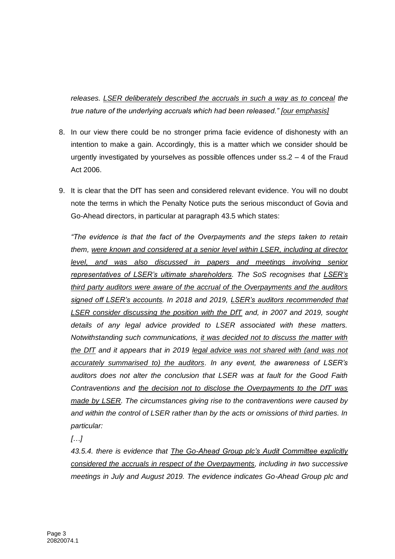*releases. LSER deliberately described the accruals in such a way as to conceal the true nature of the underlying accruals which had been released." [our emphasis]*

- 8. In our view there could be no stronger prima facie evidence of dishonesty with an intention to make a gain. Accordingly, this is a matter which we consider should be urgently investigated by yourselves as possible offences under  $ss.2 - 4$  of the Fraud Act 2006.
- 9. It is clear that the DfT has seen and considered relevant evidence. You will no doubt note the terms in which the Penalty Notice puts the serious misconduct of Govia and Go-Ahead directors, in particular at paragraph 43.5 which states:

*"The evidence is that the fact of the Overpayments and the steps taken to retain them, were known and considered at a senior level within LSER, including at director level, and was also discussed in papers and meetings involving senior representatives of LSER's ultimate shareholders. The SoS recognises that LSER's third party auditors were aware of the accrual of the Overpayments and the auditors signed off LSER's accounts. In 2018 and 2019, LSER's auditors recommended that LSER consider discussing the position with the DfT and, in 2007 and 2019, sought details of any legal advice provided to LSER associated with these matters. Notwithstanding such communications, it was decided not to discuss the matter with the DfT and it appears that in 2019 legal advice was not shared with (and was not accurately summarised to) the auditors. In any event, the awareness of LSER's auditors does not alter the conclusion that LSER was at fault for the Good Faith Contraventions and the decision not to disclose the Overpayments to the DfT was made by LSER. The circumstances giving rise to the contraventions were caused by and within the control of LSER rather than by the acts or omissions of third parties. In particular:*

*[…]*

*43.5.4. there is evidence that The Go-Ahead Group plc's Audit Committee explicitly considered the accruals in respect of the Overpayments, including in two successive meetings in July and August 2019. The evidence indicates Go-Ahead Group plc and*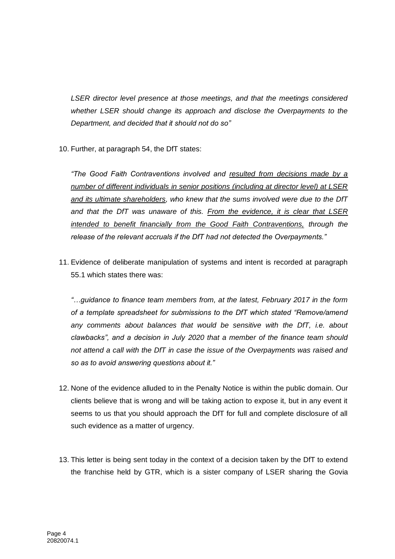*LSER director level presence at those meetings, and that the meetings considered whether LSER should change its approach and disclose the Overpayments to the Department, and decided that it should not do so"*

10. Further, at paragraph 54, the DfT states:

*"The Good Faith Contraventions involved and resulted from decisions made by a number of different individuals in senior positions (including at director level) at LSER and its ultimate shareholders, who knew that the sums involved were due to the DfT and that the DfT was unaware of this. From the evidence, it is clear that LSER intended to benefit financially from the Good Faith Contraventions, through the release of the relevant accruals if the DfT had not detected the Overpayments."*

11. Evidence of deliberate manipulation of systems and intent is recorded at paragraph 55.1 which states there was:

*"…guidance to finance team members from, at the latest, February 2017 in the form of a template spreadsheet for submissions to the DfT which stated "Remove/amend any comments about balances that would be sensitive with the DfT, i.e. about clawbacks", and a decision in July 2020 that a member of the finance team should not attend a call with the DfT in case the issue of the Overpayments was raised and so as to avoid answering questions about it."*

- 12. None of the evidence alluded to in the Penalty Notice is within the public domain. Our clients believe that is wrong and will be taking action to expose it, but in any event it seems to us that you should approach the DfT for full and complete disclosure of all such evidence as a matter of urgency.
- 13. This letter is being sent today in the context of a decision taken by the DfT to extend the franchise held by GTR, which is a sister company of LSER sharing the Govia